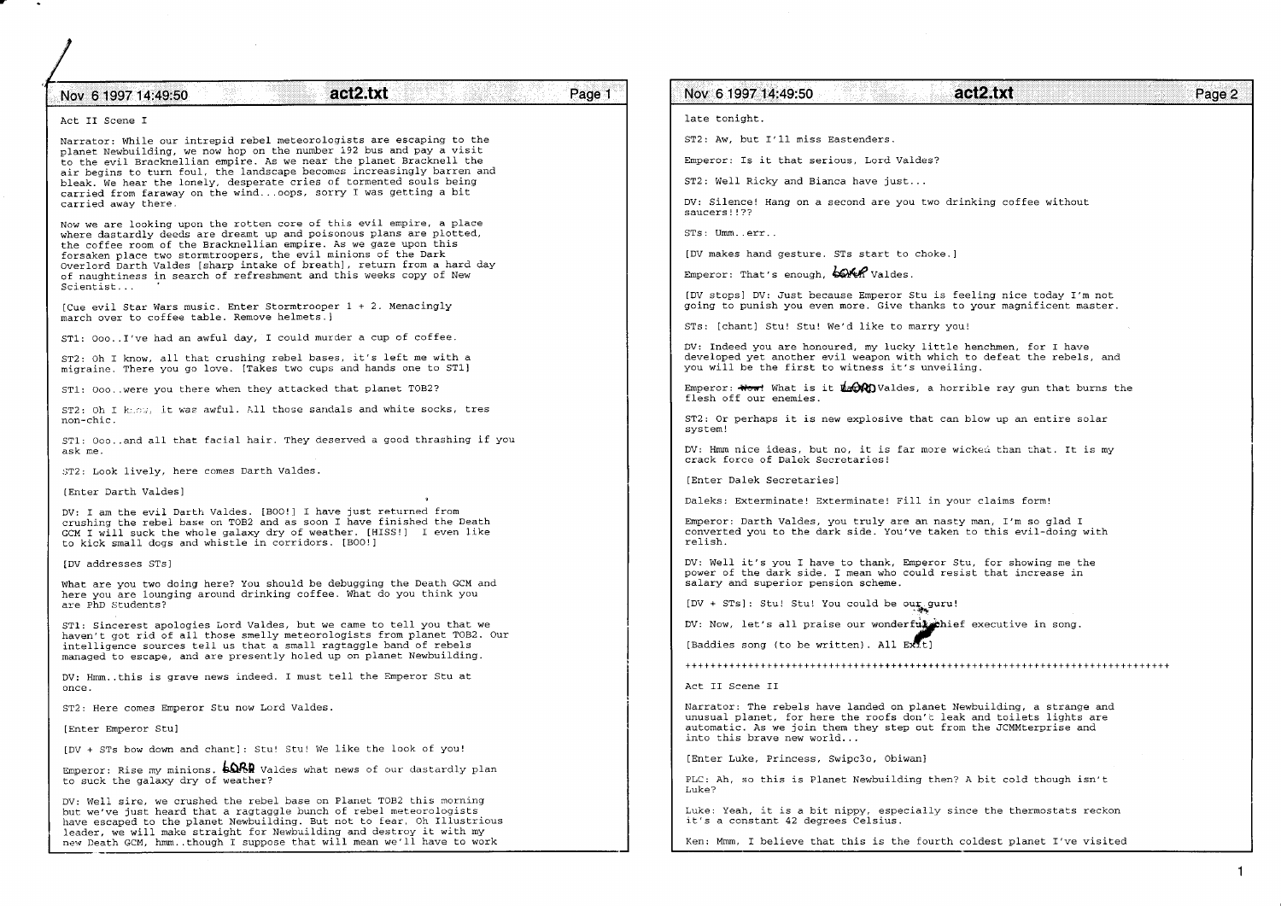## Nov 6 1997 14:49:50 **act2.txt**

## Page 1

Act II Scene I

Narrator: While our intrepid rebel meteorologists are escaping to the planet Newbuilding, we now hop on the number 192 bus and pay a visit Lo the evil Bracknellian empire. As we near the planet Bracknell the air begins to turn foul, the landscape becomes increasingly barren and bleak. We hear the lonely, desperate cries of tormented souls being carried from faraway on the wind...oops, sorry I was getting a bit carried away there.

Now we are lookinq upon the rotten core of this evil empire, a place where dastardly deeds are dreamt up and poisonous plans are plotted, the coffee room of the Bracknellian empire. As we qaze upon this forsaken place two stormtroopers, the evil minions of the Dark<br>Overlord Darth Valdes [sharp intake of breath], return from a hard day of naughtiness in search of refreshment and this weeks copy of New  $\texttt{Scientist...}$ 

Cue evil Star Wars music. Enter Stormtrooper 1 + 2. Menacingly march over to coffee table. Remove helmets.]

sT1: ooo..I've had an awful day, I could murder a cup of coffee.

ST2: Oh I know, all that crushing rebel bases, it's left me with a migraine. There you go love. [Takes two cups and hands one to ST1]

ST1: ooo..were you there when they attacked that planet TOB2?

 $ST2:$  Oh I k..... it was awful. All those sandals and white socks, tres non-chic.

ST1: Ooo..and all that facial hair. They deserved a good thrashing if you ask me,

ST2: Look lively, here comes Darth Valdes.

IEnter Darth Valdes]

DV: I am the evil Darth Valdes. [BOO!] I have just returned from crushing the rebel base on TOB2 and as soon I have finished the Death.  $CCM$  I will suck the whole galaxy dry of weather. [HISS!] I even like to kick smaII dogs and whistle in corridors. [Boo!]

IDV addresses sTsl

What are you two doing here? You should be debugging the Death GCM and here you are lounging aronnd drinking coffee. What do you think you are PhD Students?

ST1: Sincerest apologies Lord Valdes, but we came to tell you that we haven't got rid of all those smelly meteorologists from planet TOB2. Our intelligence sources tell us that a sma11 ragtaggle band of rebels managed to escape, and are presently holed up on planet Newbuilding.

DV: Hmm..this is grave news indeed. I must tell the Emperor Stu at once.<br>
Solomonia de la provincia de la provincia de la provincia de la provincia de la provincia de la provincia de<br>
Act II Scene II

ST2: Here comes Emperor Stu now Lord Valdes.

IEnter Emperor Stu]

IDV + STs bow dom and chant]: Stul Stu! We like the look of you!

Emperor: Rise my minions.  $\frac{1}{2}$  Waldes what news of our dastardly plan to suck the galaxy dry of weather?

DV: Well sire, we crushed the rebel base on Planet TOB2 this morning but we've just heard that a ragtaggle bunch of rebel meteorologists have escaped to the planet Newbuilding. But not to fear, Oh Illustrious leader, we will make straight for Newbuilding and destroy it with my new Death GCM, hmm., though I suppose that will mean we'll have to work

## Nov 6 1997 14:49:50 **act2.txt**

late tonight.

sT2: Aw, but. I'11 niss Eastenders.

Emperor: 1s it that serious, Lord Valdes?

ST2: Well Ricky and Bianca have just...

DV: Silence! Hang on a second are you two drinking coffee without saucers!!??

STs: Umm..err..

IDV makes hand gesture. STs start to choke.]

Emperor: That's enough, borth Valdes.

[DV stops] DV: Just because Emperor Stu is feeling nice today I'm not going to punish you even more. Give thanks to your magnificent master.

STs: lchant] Stu! Stu! We'd like to marry you!

DV: Indeed you are honoured, my lucky little henchmen, for I have developed yet another evil weapon with which to defeat the rebels, and you will be the first to witness it's unveiling.

Emperor:  $\overline{H}$  What is it  $\oint_{\partial} d\Omega$  Valdes, a horrible ray gun that burns the flesh off our enemies.

 $ST2:$  Or perhaps it is new explosive that can blow up an entire solar system!

DV: Hmm nice ideas, but no, it is far more wicked than that. It is my crack force of Dalek Secretaries!

IEnter Dalek secretaries]

Daleks: Exterminate! Exterminate! Fill in your claims form!

Emperor; Darth Valdes, you truly are an nasty man, I'm so glad I converted you to the dark side. You've taken to this evil-doing with relish.

DV: WelI it's you I have to thank, Emperor Stu, for showing me the power of the dark side. I mean who could resist that increase in salary and superior pension scheme.

[DV + STs]: Stu! Stu! You could be our guru!

DV: Now, let's all praise our wonderful chef executive in song.

[Baddies song (to be written). All ExTtl

Narrator: The rebels have landed on planet Newbuilding, a strange and unusual planet, for here the roofs dou'c leak and toilets lights are automatic. As we join Ehem they step out from the JCMMLerprise and into this brave new wor1d...

lEnter Luke, Princess, Swipc3o, obiwan]

PLC: Ah, so this is Planet Newbuilding then? A bit cold though isn't Luke?

Luke: Yeah, it is a bit nippy, especially since the thermostats reckon it's a constant 42 degrees Celsius.

Ken: Mmm, I believe that this is the fourth coldest planet I've visited

Page 2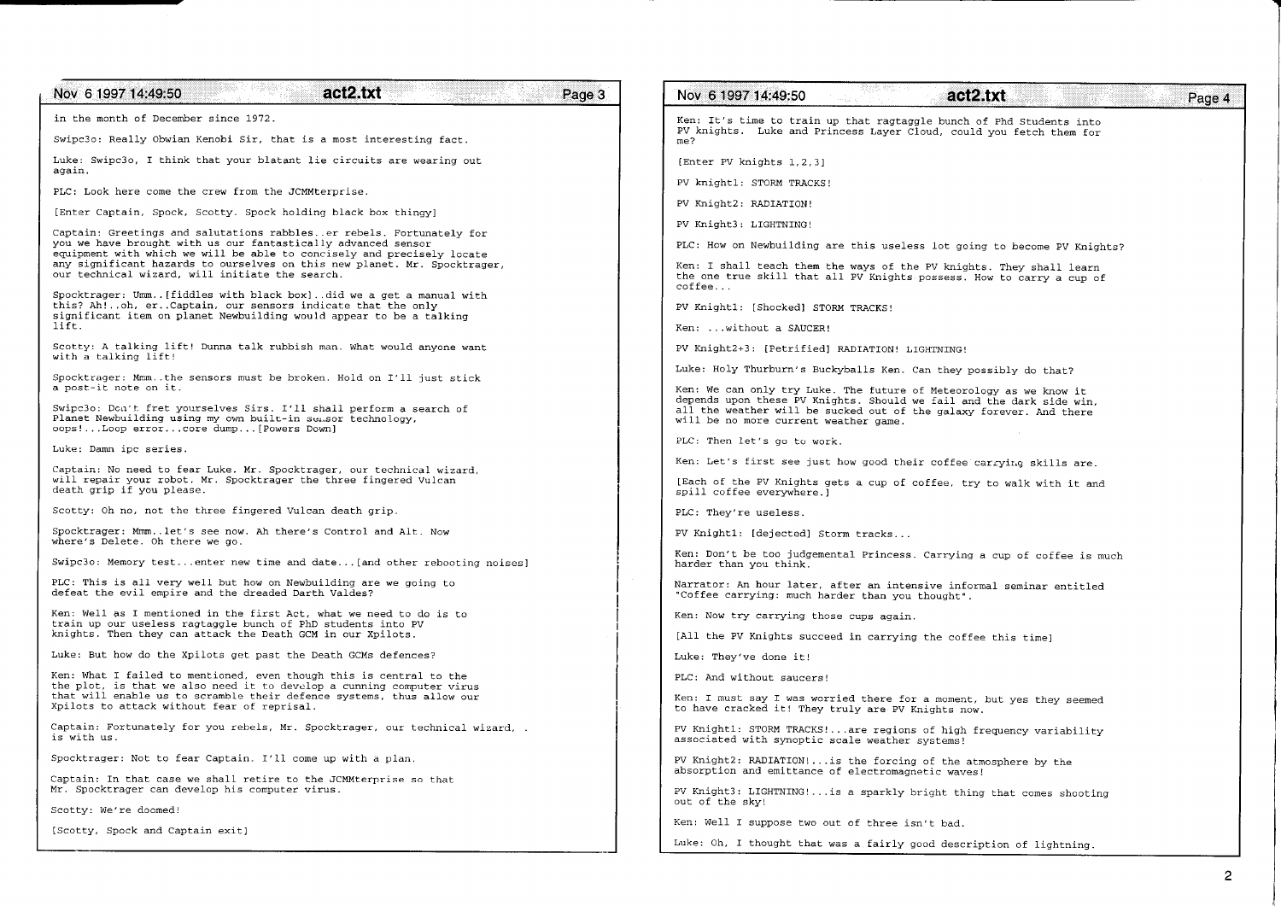| act2.txt<br>Nov 6 1997 14:49:50<br>Page 3                                                                                                                                   | Nov 6 1997 14:49:50<br>act2.txt<br>Page 4                                                                                                                                            |
|-----------------------------------------------------------------------------------------------------------------------------------------------------------------------------|--------------------------------------------------------------------------------------------------------------------------------------------------------------------------------------|
| in the month of December since 1972.                                                                                                                                        | Ken: It's time to train up that ragtaggle bunch of Phd Students into                                                                                                                 |
| Swipc3o: Really Obwian Kenobi Sir, that is a most interesting fact.                                                                                                         | PV knights. Luke and Princess Layer Cloud, could you fetch them for<br>me?                                                                                                           |
| Luke: Swipc3o, I think that your blatant lie circuits are wearing out<br>again.                                                                                             | [Enter PV knights 1, 2, 3]                                                                                                                                                           |
| PLC: Look here come the crew from the JCMMterprise.                                                                                                                         | PV knight1: STORM TRACKS!                                                                                                                                                            |
| [Enter Captain, Spock, Scotty. Spock holding black box thingy]                                                                                                              | PV Knight2: RADIATION!                                                                                                                                                               |
| Captain: Greetings and salutations rabbles. er rebels. Fortunately for                                                                                                      | PV Knight3: LIGHTNING!                                                                                                                                                               |
| you we have brought with us our fantastically advanced sensor<br>equipment with which we will be able to concisely and precisely locate                                     | PLC: How on Newbuilding are this useless lot going to become PV Knights?                                                                                                             |
| any significant hazards to ourselves on this new planet. Mr. Spocktrager,<br>our technical wizard, will initiate the search.                                                | Ken: I shall teach them the ways of the PV knights. They shall learn<br>the one true skill that all PV Knights possess. How to carry a cup of<br>coffee                              |
| Spocktrager: Umm[fiddles with black box]did we a get a manual with<br>this? Ah!oh, erCaptain, our sensors indicate that the only                                            | PV Knight1: [Shocked] STORM TRACKS!                                                                                                                                                  |
| significant item on planet Newbuilding would appear to be a talking<br>lift.                                                                                                | Ken: without a SAUCER!                                                                                                                                                               |
| Scotty: A talking lift! Dunna talk rubbish man. What would anyone want                                                                                                      | PV Knight2+3: [Petrified] RADIATION! LIGHTNING!                                                                                                                                      |
| with a talking lift!                                                                                                                                                        | Luke: Holy Thurburn's Buckyballs Ken. Can they possibly do that?                                                                                                                     |
| Spocktrager: Mmmthe sensors must be broken. Hold on I'll just stick<br>a post-it note on it.                                                                                | Ken: We can only try Luke. The future of Meteorology as we know it                                                                                                                   |
| Swipc3o: Don't fret yourselves Sirs. I'll shall perform a search of<br>Planet Newbuilding using my own built-in sensor technology,<br>oops!Loop errorcore dump[Powers Down] | depends upon these PV Knights. Should we fail and the dark side win,<br>all the weather will be sucked out of the galaxy forever. And there<br>will be no more current weather game. |
| Luke: Damn ipc series.                                                                                                                                                      | PLC: Then let's go to work.                                                                                                                                                          |
| Captain: No need to fear Luke. Mr. Spocktrager, our technical wizard,                                                                                                       | Ken: Let's first see just how good their coffee carrying skills are.                                                                                                                 |
| will repair your robot. Mr. Spocktrager the three fingered Vulcan<br>death grip if you please.                                                                              | [Each of the PV Knights gets a cup of coffee, try to walk with it and<br>spill coffee everywhere.)                                                                                   |
| Scotty: Oh no, not the three fingered Vulcan death grip.                                                                                                                    | PLC: They're useless.                                                                                                                                                                |
| Spocktrager: Mmmlet's see now. Ah there's Control and Alt. Now<br>where's Delete. Oh there we go.                                                                           | PV Knight1: [dejected] Storm tracks                                                                                                                                                  |
| Swipc3o: Memory testenter new time and date [and other rebooting noises]                                                                                                    | Ken: Don't be too judgemental Princess. Carrying a cup of coffee is much<br>harder than you think.                                                                                   |
| PLC: This is all very well but how on Newbuilding are we going to<br>defeat the evil empire and the dreaded Darth Valdes?                                                   | Narrator: An hour later, after an intensive informal seminar entitled<br>"Coffee carrying: much harder than you thought".                                                            |
| Ken: Well as I mentioned in the first Act, what we need to do is to<br>train up our useless ragtaggle bunch of PhD students into PV                                         | Ken: Now try carrying those cups again.                                                                                                                                              |
| knights. Then they can attack the Death GCM in our Xpilots.                                                                                                                 | [All the PV Knights succeed in carrying the coffee this time]                                                                                                                        |
| Luke: But how do the Xpilots get past the Death GCMs defences?                                                                                                              | Luke: They've done it!                                                                                                                                                               |
| Ken: What I failed to mentioned, even though this is central to the<br>the plot, is that we also need it to develop a cunning computer virus                                | PLC: And without saucers!                                                                                                                                                            |
| that will enable us to scramble their defence systems, thus allow our<br>Xpilots to attack without fear of reprisal.                                                        | Ken: I must say I was worried there for a moment, but yes they seemed<br>to have cracked it! They truly are PV Knights now.                                                          |
| Captain: Fortunately for you rebels, Mr. Spocktrager, our technical wizard, .<br>is with us.                                                                                | PV Knight1: STORM TRACKS!are regions of high frequency variability<br>associated with synoptic scale weather systems!                                                                |
| Spocktrager: Not to fear Captain. I'll come up with a plan.                                                                                                                 | PV Knight2: RADIATION!is the forcing of the atmosphere by the                                                                                                                        |
| Captain: In that case we shall retire to the JCMMterprise so that<br>Mr. Spocktrager can develop his computer virus.                                                        | absorption and emittance of electromagnetic waves!<br>PV Knight3: LIGHTNING! is a sparkly bright thing that comes shooting                                                           |
| Scotty: We're doomed!                                                                                                                                                       | out of the sky!                                                                                                                                                                      |
| [Scotty, Spock and Captain exit]                                                                                                                                            | Ken: Well I suppose two out of three isn't bad.                                                                                                                                      |
|                                                                                                                                                                             | Luke: Oh, I thought that was a fairly good description of lightning.                                                                                                                 |